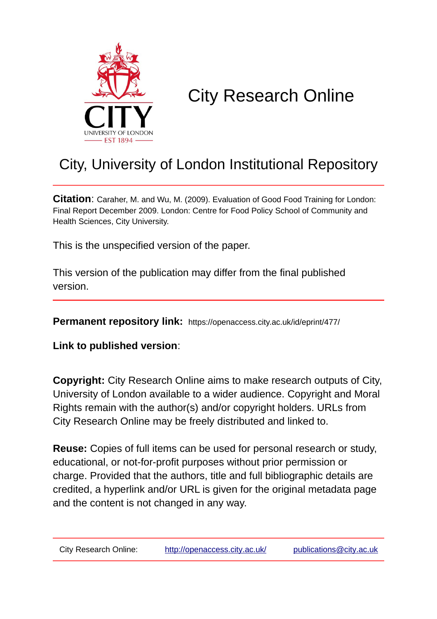

# City Research Online

## City, University of London Institutional Repository

**Citation**: Caraher, M. and Wu, M. (2009). Evaluation of Good Food Training for London: Final Report December 2009. London: Centre for Food Policy School of Community and Health Sciences, City University.

This is the unspecified version of the paper.

This version of the publication may differ from the final published version.

**Permanent repository link:** https://openaccess.city.ac.uk/id/eprint/477/

**Link to published version**:

**Copyright:** City Research Online aims to make research outputs of City, University of London available to a wider audience. Copyright and Moral Rights remain with the author(s) and/or copyright holders. URLs from City Research Online may be freely distributed and linked to.

**Reuse:** Copies of full items can be used for personal research or study, educational, or not-for-profit purposes without prior permission or charge. Provided that the authors, title and full bibliographic details are credited, a hyperlink and/or URL is given for the original metadata page and the content is not changed in any way.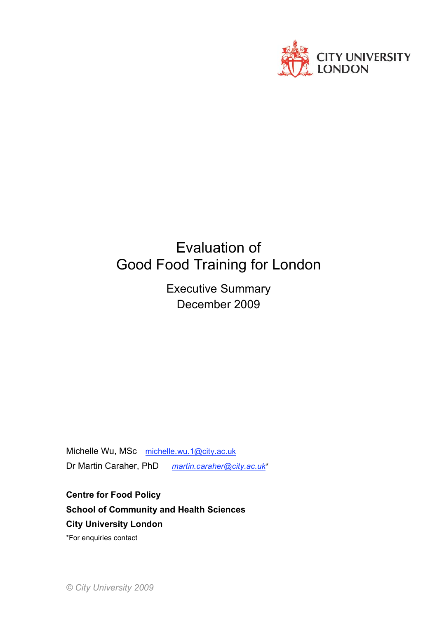

### Evaluation of Good Food Training for London

Executive Summary December 2009

Michelle Wu, MSc michelle.wu.1@city.ac.uk Dr Martin Caraher, PhD *martin.caraher@city.ac.uk*\*

**Centre for Food Policy School of Community and Health Sciences City University London**

\*For enquiries contact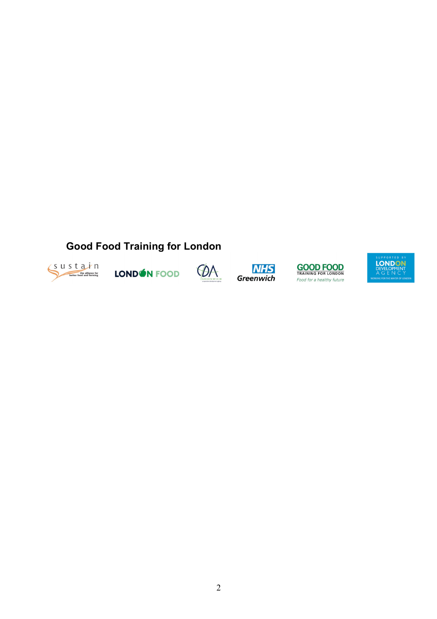### **Good Food Training for London**



LONDON FOOD







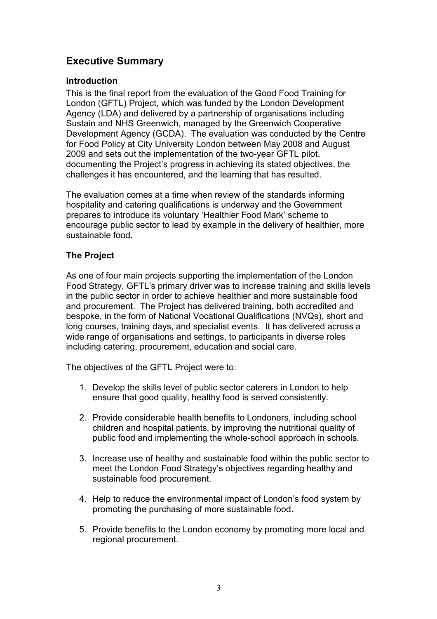#### **Executive Summary**

#### **Introduction**

This is the final report from the evaluation of the Good Food Training for London (GFTL) Project, which was funded by the London Development Agency (LDA) and delivered by a partnership of organisations including Sustain and NHS Greenwich, managed by the Greenwich Cooperative Development Agency (GCDA). The evaluation was conducted by the Centre for Food Policy at City University London between May 2008 and August 2009 and sets out the implementation of the two-year GFTL pilot, documenting the Project's progress in achieving its stated objectives, the challenges it has encountered, and the learning that has resulted.

The evaluation comes at a time when review of the standards informing hospitality and catering qualifications is underway and the Government prepares to introduce its voluntary 'Healthier Food Mark' scheme to encourage public sector to lead by example in the delivery of healthier, more sustainable food.

#### **The Project**

As one of four main projects supporting the implementation of the London Food Strategy, GFTL's primary driver was to increase training and skills levels in the public sector in order to achieve healthier and more sustainable food and procurement. The Project has delivered training, both accredited and bespoke, in the form of National Vocational Qualifications (NVQs), short and long courses, training days, and specialist events. It has delivered across a wide range of organisations and settings, to participants in diverse roles including catering, procurement, education and social care.

The objectives of the GFTL Project were to:

- 1. Develop the skills level of public sector caterers in London to help ensure that good quality, healthy food is served consistently.
- 2. Provide considerable health benefits to Londoners, including school children and hospital patients, by improving the nutritional quality of public food and implementing the whole-school approach in schools.
- 3. Increase use of healthy and sustainable food within the public sector to meet the London Food Strategy's objectives regarding healthy and sustainable food procurement.
- 4. Help to reduce the environmental impact of London's food system by promoting the purchasing of more sustainable food.
- 5. Provide benefits to the London economy by promoting more local and regional procurement.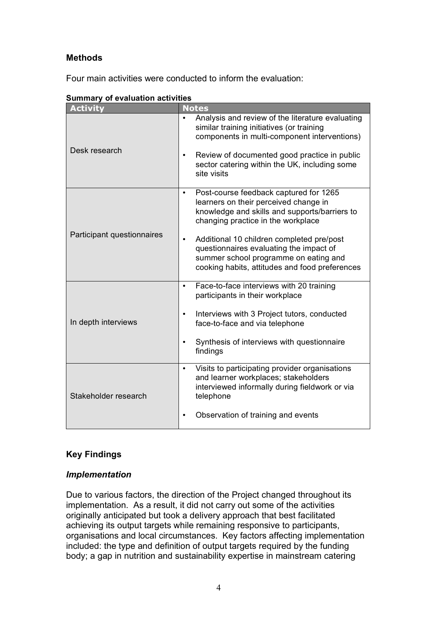#### **Methods**

Four main activities were conducted to inform the evaluation:

| Sullillialy VI Evaluation activities |                                                                                                                                                                                                                                                                                                                                                           |  |  |
|--------------------------------------|-----------------------------------------------------------------------------------------------------------------------------------------------------------------------------------------------------------------------------------------------------------------------------------------------------------------------------------------------------------|--|--|
| <b>Activity</b>                      | <b>Notes</b>                                                                                                                                                                                                                                                                                                                                              |  |  |
| Desk research                        | Analysis and review of the literature evaluating<br>similar training initiatives (or training<br>components in multi-component interventions)<br>Review of documented good practice in public<br>sector catering within the UK, including some<br>site visits                                                                                             |  |  |
| Participant questionnaires           | Post-course feedback captured for 1265<br>learners on their perceived change in<br>knowledge and skills and supports/barriers to<br>changing practice in the workplace<br>Additional 10 children completed pre/post<br>questionnaires evaluating the impact of<br>summer school programme on eating and<br>cooking habits, attitudes and food preferences |  |  |
| In depth interviews                  | Face-to-face interviews with 20 training<br>participants in their workplace<br>Interviews with 3 Project tutors, conducted<br>face-to-face and via telephone<br>Synthesis of interviews with questionnaire<br>findings                                                                                                                                    |  |  |
| Stakeholder research                 | Visits to participating provider organisations<br>and learner workplaces; stakeholders<br>interviewed informally during fieldwork or via<br>telephone<br>Observation of training and events                                                                                                                                                               |  |  |

|  | <b>Summary of evaluation activities</b> |  |
|--|-----------------------------------------|--|
|  |                                         |  |

#### **Key Findings**

#### *Implementation*

Due to various factors, the direction of the Project changed throughout its implementation. As a result, it did not carry out some of the activities originally anticipated but took a delivery approach that best facilitated achieving its output targets while remaining responsive to participants, organisations and local circumstances. Key factors affecting implementation included: the type and definition of output targets required by the funding body; a gap in nutrition and sustainability expertise in mainstream catering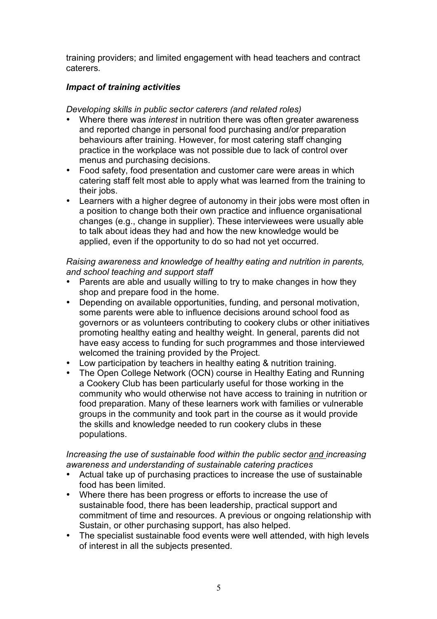training providers; and limited engagement with head teachers and contract caterers.

#### *Impact of training activities*

*Developing skills in public sector caterers (and related roles)*

- Where there was *interest* in nutrition there was often greater awareness and reported change in personal food purchasing and/or preparation behaviours after training. However, for most catering staff changing practice in the workplace was not possible due to lack of control over menus and purchasing decisions.
- Food safety, food presentation and customer care were areas in which catering staff felt most able to apply what was learned from the training to their jobs.
- Learners with a higher degree of autonomy in their jobs were most often in a position to change both their own practice and influence organisational changes (e.g., change in supplier). These interviewees were usually able to talk about ideas they had and how the new knowledge would be applied, even if the opportunity to do so had not yet occurred.

*Raising awareness and knowledge of healthy eating and nutrition in parents, and school teaching and support staff* 

- Parents are able and usually willing to try to make changes in how they shop and prepare food in the home.
- Depending on available opportunities, funding, and personal motivation, some parents were able to influence decisions around school food as governors or as volunteers contributing to cookery clubs or other initiatives promoting healthy eating and healthy weight. In general, parents did not have easy access to funding for such programmes and those interviewed welcomed the training provided by the Project.
- Low participation by teachers in healthy eating & nutrition training.<br>• The Open College Network (OCN) course in Healthy Fating and R
- The Open College Network (OCN) course in Healthy Eating and Running a Cookery Club has been particularly useful for those working in the community who would otherwise not have access to training in nutrition or food preparation. Many of these learners work with families or vulnerable groups in the community and took part in the course as it would provide the skills and knowledge needed to run cookery clubs in these populations.

#### *Increasing the use of sustainable food within the public sector and increasing awareness and understanding of sustainable catering practices*

- Actual take up of purchasing practices to increase the use of sustainable food has been limited.
- Where there has been progress or efforts to increase the use of sustainable food, there has been leadership, practical support and commitment of time and resources. A previous or ongoing relationship with Sustain, or other purchasing support, has also helped.
- The specialist sustainable food events were well attended, with high levels of interest in all the subjects presented.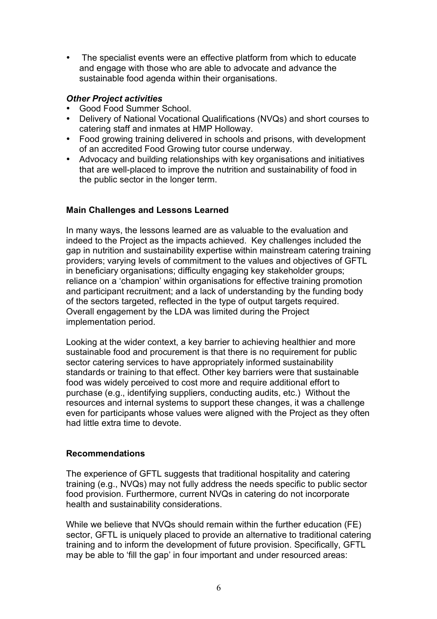• The specialist events were an effective platform from which to educate and engage with those who are able to advocate and advance the sustainable food agenda within their organisations.

#### *Other Project activities*

- Good Food Summer School.<br>• Delivery of National Vocation
- Delivery of National Vocational Qualifications (NVQs) and short courses to catering staff and inmates at HMP Holloway.
- Food growing training delivered in schools and prisons, with development of an accredited Food Growing tutor course underway.
- Advocacy and building relationships with key organisations and initiatives that are well-placed to improve the nutrition and sustainability of food in the public sector in the longer term.

#### **Main Challenges and Lessons Learned**

In many ways, the lessons learned are as valuable to the evaluation and indeed to the Project as the impacts achieved. Key challenges included the gap in nutrition and sustainability expertise within mainstream catering training providers; varying levels of commitment to the values and objectives of GFTL in beneficiary organisations; difficulty engaging key stakeholder groups; reliance on a 'champion' within organisations for effective training promotion and participant recruitment; and a lack of understanding by the funding body of the sectors targeted, reflected in the type of output targets required. Overall engagement by the LDA was limited during the Project implementation period.

Looking at the wider context, a key barrier to achieving healthier and more sustainable food and procurement is that there is no requirement for public sector catering services to have appropriately informed sustainability standards or training to that effect. Other key barriers were that sustainable food was widely perceived to cost more and require additional effort to purchase (e.g., identifying suppliers, conducting audits, etc.) Without the resources and internal systems to support these changes, it was a challenge even for participants whose values were aligned with the Project as they often had little extra time to devote.

#### **Recommendations**

The experience of GFTL suggests that traditional hospitality and catering training (e.g., NVQs) may not fully address the needs specific to public sector food provision. Furthermore, current NVQs in catering do not incorporate health and sustainability considerations.

While we believe that NVQs should remain within the further education (FE) sector, GFTL is uniquely placed to provide an alternative to traditional catering training and to inform the development of future provision. Specifically, GFTL may be able to 'fill the gap' in four important and under resourced areas: